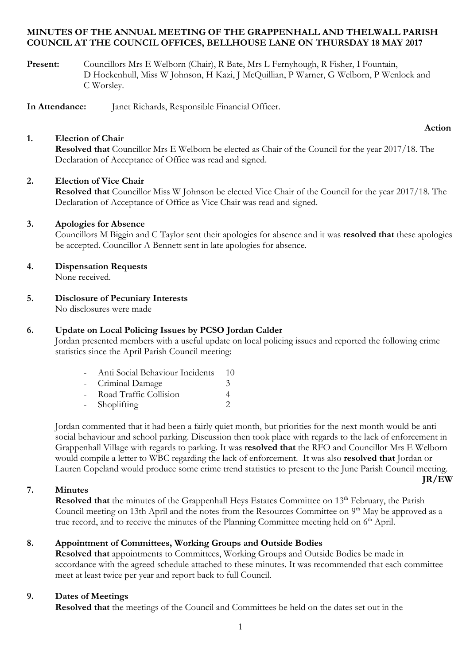#### **MINUTES OF THE ANNUAL MEETING OF THE GRAPPENHALL AND THELWALL PARISH COUNCIL AT THE COUNCIL OFFICES, BELLHOUSE LANE ON THURSDAY 18 MAY 2017**

**Present:** Councillors Mrs E Welborn (Chair), R Bate, Mrs L Fernyhough, R Fisher, I Fountain, D Hockenhull, Miss W Johnson, H Kazi, J McQuillian, P Warner, G Welborn, P Wenlock and C Worsley.

**In Attendance:** Janet Richards, Responsible Financial Officer.

#### **1. Election of Chair**

**Action**

**JR/EW**

**Resolved that** Councillor Mrs E Welborn be elected as Chair of the Council for the year 2017/18. The Declaration of Acceptance of Office was read and signed.

#### **2. Election of Vice Chair**

**Resolved that** Councillor Miss W Johnson be elected Vice Chair of the Council for the year 2017/18. The Declaration of Acceptance of Office as Vice Chair was read and signed.

#### **3. Apologies for Absence**

Councillors M Biggin and C Taylor sent their apologies for absence and it was **resolved that** these apologies be accepted. Councillor A Bennett sent in late apologies for absence.

**4. Dispensation Requests**

None received.

**5. Disclosure of Pecuniary Interests**

No disclosures were made

#### **6. Update on Local Policing Issues by PCSO Jordan Calder**

Jordan presented members with a useful update on local policing issues and reported the following crime statistics since the April Parish Council meeting:

- Anti Social Behaviour Incidents 10
- Criminal Damage 3
- Road Traffic Collision 4
- Shoplifting 2

Jordan commented that it had been a fairly quiet month, but priorities for the next month would be anti social behaviour and school parking. Discussion then took place with regards to the lack of enforcement in Grappenhall Village with regards to parking. It was **resolved that** the RFO and Councillor Mrs E Welborn would compile a letter to WBC regarding the lack of enforcement. It was also **resolved that** Jordan or Lauren Copeland would produce some crime trend statistics to present to the June Parish Council meeting.

#### **7. Minutes**

**Resolved that** the minutes of the Grappenhall Heys Estates Committee on 13<sup>th</sup> February, the Parish Council meeting on 13th April and the notes from the Resources Committee on 9<sup>th</sup> May be approved as a true record, and to receive the minutes of the Planning Committee meeting held on 6<sup>th</sup> April.

### **8. Appointment of Committees, Working Groups and Outside Bodies**

**Resolved that** appointments to Committees, Working Groups and Outside Bodies be made in accordance with the agreed schedule attached to these minutes. It was recommended that each committee meet at least twice per year and report back to full Council.

#### **9. Dates of Meetings**

**Resolved that** the meetings of the Council and Committees be held on the dates set out in the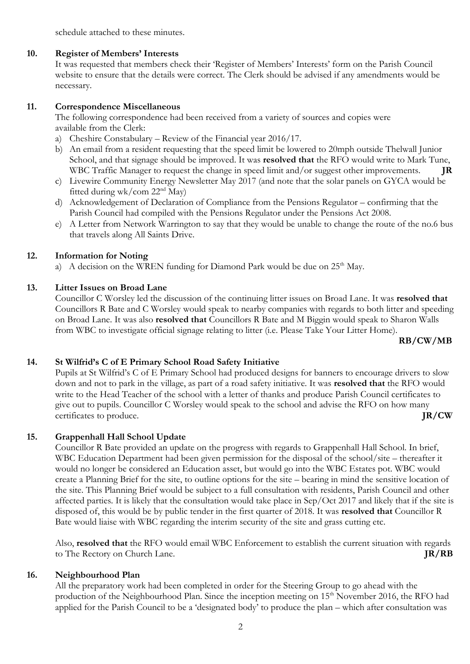schedule attached to these minutes.

#### **10. Register of Members' Interests**

It was requested that members check their 'Register of Members' Interests' form on the Parish Council website to ensure that the details were correct. The Clerk should be advised if any amendments would be necessary.

#### **11. Correspondence Miscellaneous**

The following correspondence had been received from a variety of sources and copies were available from the Clerk:

- a) Cheshire Constabulary Review of the Financial year 2016/17.
- b) An email from a resident requesting that the speed limit be lowered to 20mph outside Thelwall Junior School, and that signage should be improved. It was **resolved that** the RFO would write to Mark Tune, WBC Traffic Manager to request the change in speed limit and/or suggest other improvements. **JR**
- c) Livewire Community Energy Newsletter May 2017 (and note that the solar panels on GYCA would be fitted during wk/com 22<sup>nd</sup> May)
- d) Acknowledgement of Declaration of Compliance from the Pensions Regulator confirming that the Parish Council had compiled with the Pensions Regulator under the Pensions Act 2008.
- e) A Letter from Network Warrington to say that they would be unable to change the route of the no.6 bus that travels along All Saints Drive.

#### **12. Information for Noting**

a) A decision on the WREN funding for Diamond Park would be due on  $25<sup>th</sup>$  May.

#### **13. Litter Issues on Broad Lane**

Councillor C Worsley led the discussion of the continuing litter issues on Broad Lane. It was **resolved that** Councillors R Bate and C Worsley would speak to nearby companies with regards to both litter and speeding on Broad Lane. It was also **resolved that** Councillors R Bate and M Biggin would speak to Sharon Walls from WBC to investigate official signage relating to litter (i.e. Please Take Your Litter Home).

**RB/CW/MB**

### **14. St Wilfrid's C of E Primary School Road Safety Initiative**

Pupils at St Wilfrid's C of E Primary School had produced designs for banners to encourage drivers to slow down and not to park in the village, as part of a road safety initiative. It was **resolved that** the RFO would write to the Head Teacher of the school with a letter of thanks and produce Parish Council certificates to give out to pupils. Councillor C Worsley would speak to the school and advise the RFO on how many certificates to produce. **JR/CW**

#### **15. Grappenhall Hall School Update**

Councillor R Bate provided an update on the progress with regards to Grappenhall Hall School. In brief, WBC Education Department had been given permission for the disposal of the school/site – thereafter it would no longer be considered an Education asset, but would go into the WBC Estates pot. WBC would create a Planning Brief for the site, to outline options for the site – bearing in mind the sensitive location of the site. This Planning Brief would be subject to a full consultation with residents, Parish Council and other affected parties. It is likely that the consultation would take place in Sep/Oct 2017 and likely that if the site is disposed of, this would be by public tender in the first quarter of 2018. It was **resolved that** Councillor R Bate would liaise with WBC regarding the interim security of the site and grass cutting etc.

Also, **resolved that** the RFO would email WBC Enforcement to establish the current situation with regards to The Rectory on Church Lane. **JR/RB**

#### **16. Neighbourhood Plan**

All the preparatory work had been completed in order for the Steering Group to go ahead with the production of the Neighbourhood Plan. Since the inception meeting on 15<sup>th</sup> November 2016, the RFO had applied for the Parish Council to be a 'designated body' to produce the plan – which after consultation was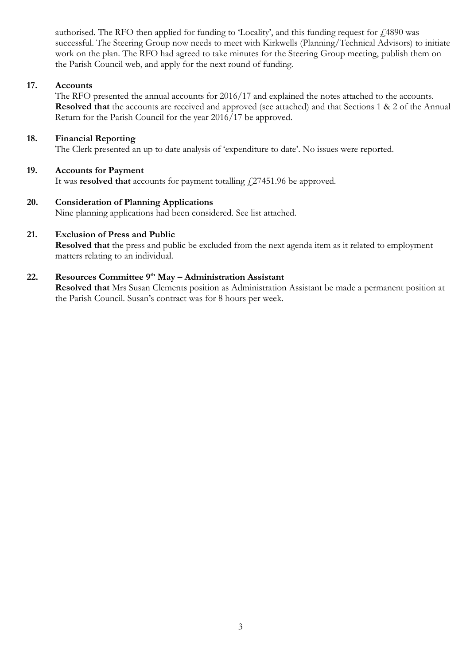authorised. The RFO then applied for funding to 'Locality', and this funding request for  $f$  4890 was successful. The Steering Group now needs to meet with Kirkwells (Planning/Technical Advisors) to initiate work on the plan. The RFO had agreed to take minutes for the Steering Group meeting, publish them on the Parish Council web, and apply for the next round of funding.

#### **17. Accounts**

The RFO presented the annual accounts for 2016/17 and explained the notes attached to the accounts. **Resolved that** the accounts are received and approved (see attached) and that Sections 1 & 2 of the Annual Return for the Parish Council for the year 2016/17 be approved.

#### **18. Financial Reporting**

The Clerk presented an up to date analysis of 'expenditure to date'. No issues were reported.

#### **19. Accounts for Payment**

It was **resolved that** accounts for payment totalling  $\ddagger$ 27451.96 be approved.

#### **20. Consideration of Planning Applications**

Nine planning applications had been considered. See list attached.

#### **21. Exclusion of Press and Public**

**Resolved that** the press and public be excluded from the next agenda item as it related to employment matters relating to an individual.

## **22. Resources Committee 9th May – Administration Assistant**

**Resolved that** Mrs Susan Clements position as Administration Assistant be made a permanent position at the Parish Council. Susan's contract was for 8 hours per week.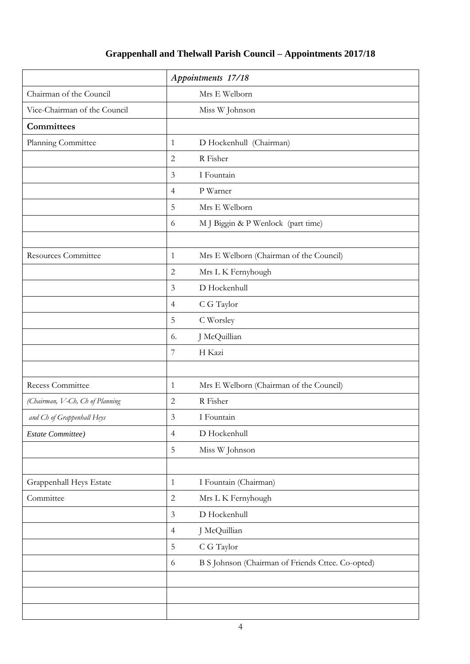# **Grappenhall and Thelwall Parish Council – Appointments 2017/18**

|                                 | Appointments 17/18                                      |
|---------------------------------|---------------------------------------------------------|
| Chairman of the Council         | Mrs E Welborn                                           |
| Vice-Chairman of the Council    | Miss W Johnson                                          |
| <b>Committees</b>               |                                                         |
| Planning Committee              | D Hockenhull (Chairman)<br>$\mathbf{1}$                 |
|                                 | R Fisher<br>$\mathbf{2}$                                |
|                                 | I Fountain<br>$\mathfrak{Z}$                            |
|                                 | P Warner<br>$\overline{4}$                              |
|                                 | 5<br>Mrs E Welborn                                      |
|                                 | M J Biggin & P Wenlock (part time)<br>6                 |
| Resources Committee             | Mrs E Welborn (Chairman of the Council)<br>$\mathbf{1}$ |
|                                 | $\mathbf{2}$<br>Mrs L K Fernyhough                      |
|                                 | D Hockenhull<br>$\mathfrak{Z}$                          |
|                                 | C G Taylor<br>$\overline{4}$                            |
|                                 | 5<br>C Worsley                                          |
|                                 | J McQuillian<br>6.                                      |
|                                 | $\boldsymbol{7}$<br>H Kazi                              |
|                                 |                                                         |
| Recess Committee                | Mrs E Welborn (Chairman of the Council)<br>1            |
| (Chairman, V-Ch, Ch of Planning | R Fisher<br>$\sqrt{2}$                                  |
| and Ch of Grappenhall Heys      | I Fountain<br>3                                         |
| Estate Committee)               | D Hockenhull<br>$\overline{4}$                          |
|                                 | $\mathbf 5$<br>Miss W Johnson                           |
| Grappenhall Heys Estate         | I Fountain (Chairman)<br>$\mathbf{1}$                   |
| Committee                       | $\overline{2}$<br>Mrs L K Fernyhough                    |
|                                 | 3<br>D Hockenhull                                       |
|                                 | J McQuillian<br>$\overline{4}$                          |
|                                 | $\mathbf 5$<br>C G Taylor                               |
|                                 | B S Johnson (Chairman of Friends Cttee. Co-opted)<br>6  |
|                                 |                                                         |
|                                 |                                                         |
|                                 |                                                         |
|                                 |                                                         |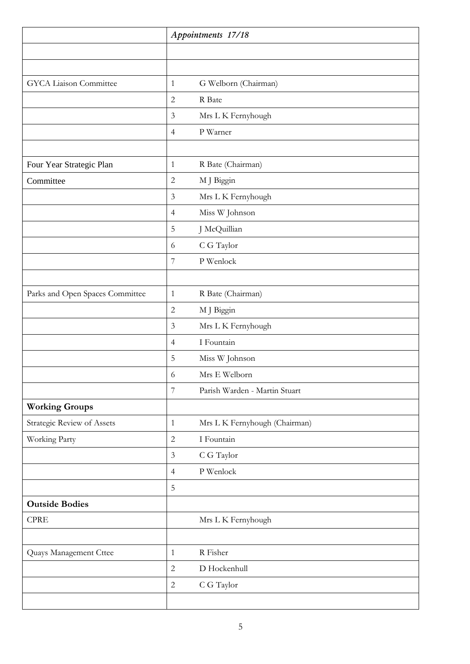|                                 | Appointments 17/18                              |  |
|---------------------------------|-------------------------------------------------|--|
|                                 |                                                 |  |
|                                 |                                                 |  |
| <b>GYCA</b> Liaison Committee   | G Welborn (Chairman)<br>$\mathbf{1}$            |  |
|                                 | $\overline{c}$<br>R Bate                        |  |
|                                 | $\mathfrak{Z}$<br>Mrs L K Fernyhough            |  |
|                                 | P Warner<br>$\overline{4}$                      |  |
|                                 |                                                 |  |
| Four Year Strategic Plan        | R Bate (Chairman)<br>$\mathbf{1}$               |  |
| Committee                       | $\sqrt{2}$<br>M J Biggin                        |  |
|                                 | $\mathfrak{Z}$<br>Mrs L K Fernyhough            |  |
|                                 | Miss W Johnson<br>$\overline{4}$                |  |
|                                 | $\mathbf 5$<br>J McQuillian                     |  |
|                                 | C G Taylor<br>6                                 |  |
|                                 | $\overline{7}$<br>P Wenlock                     |  |
|                                 |                                                 |  |
| Parks and Open Spaces Committee | R Bate (Chairman)<br>$\mathbf{1}$               |  |
|                                 | $\sqrt{2}$<br>M J Biggin                        |  |
|                                 | $\mathfrak{Z}$<br>Mrs L K Fernyhough            |  |
|                                 | I Fountain<br>$\overline{4}$                    |  |
|                                 | 5<br>Miss W Johnson                             |  |
|                                 | Mrs E Welborn<br>6                              |  |
|                                 | $\overline{7}$<br>Parish Warden - Martin Stuart |  |
| <b>Working Groups</b>           |                                                 |  |
| Strategic Review of Assets      | Mrs L K Fernyhough (Chairman)<br>$\mathbf{1}$   |  |
| Working Party                   | $\sqrt{2}$<br>I Fountain                        |  |
|                                 | $\mathfrak{Z}$<br>C G Taylor                    |  |
|                                 | P Wenlock<br>$\overline{4}$                     |  |
|                                 | 5                                               |  |
| <b>Outside Bodies</b>           |                                                 |  |
| <b>CPRE</b>                     | Mrs L K Fernyhough                              |  |
|                                 |                                                 |  |
| Quays Management Cttee          | R Fisher<br>$\mathbf{1}$                        |  |
|                                 | $\sqrt{2}$<br>D Hockenhull                      |  |
|                                 | $\sqrt{2}$<br>C G Taylor                        |  |
|                                 |                                                 |  |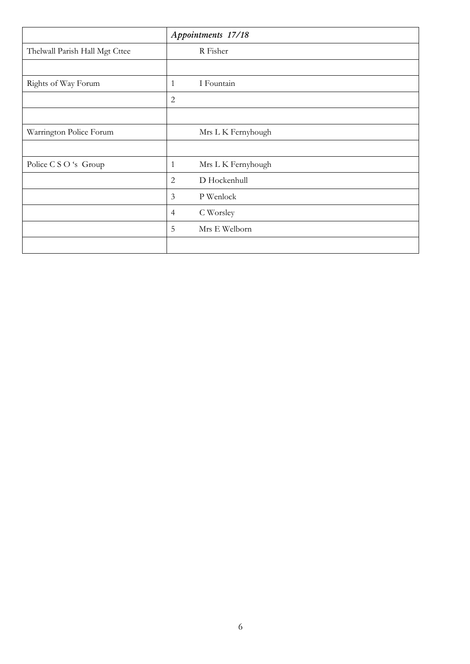|                                | Appointments 17/18 |                    |
|--------------------------------|--------------------|--------------------|
| Thelwall Parish Hall Mgt Cttee |                    | R Fisher           |
|                                |                    |                    |
| Rights of Way Forum            | 1                  | I Fountain         |
|                                | $\mathbf{2}$       |                    |
|                                |                    |                    |
| Warrington Police Forum        |                    | Mrs L K Fernyhough |
|                                |                    |                    |
| Police C S O 's Group          | $\mathbf{1}$       | Mrs L K Fernyhough |
|                                | $\mathbf{2}$       | D Hockenhull       |
|                                | $\mathfrak{Z}$     | P Wenlock          |
|                                | $\overline{4}$     | C Worsley          |
|                                | 5                  | Mrs E Welborn      |
|                                |                    |                    |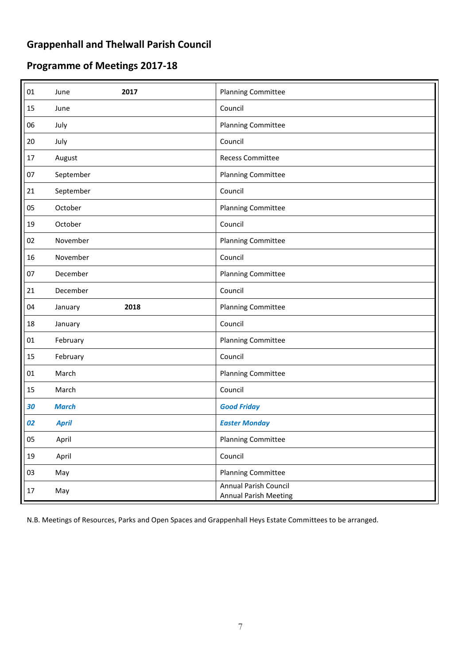# **Grappenhall and Thelwall Parish Council**

# **Programme of Meetings 2017-18**

| 01     | 2017<br>June    | <b>Planning Committee</b>                                    |
|--------|-----------------|--------------------------------------------------------------|
| 15     | June            | Council                                                      |
| 06     | July            | <b>Planning Committee</b>                                    |
| 20     | July            | Council                                                      |
| 17     | August          | <b>Recess Committee</b>                                      |
| 07     | September       | <b>Planning Committee</b>                                    |
| 21     | September       | Council                                                      |
| 05     | October         | <b>Planning Committee</b>                                    |
| 19     | October         | Council                                                      |
| 02     | November        | <b>Planning Committee</b>                                    |
| 16     | November        | Council                                                      |
| 07     | December        | <b>Planning Committee</b>                                    |
| 21     | December        | Council                                                      |
| 04     | 2018<br>January | <b>Planning Committee</b>                                    |
| 18     | January         | Council                                                      |
| $01\,$ | February        | <b>Planning Committee</b>                                    |
| 15     | February        | Council                                                      |
| 01     | March           | <b>Planning Committee</b>                                    |
| 15     | March           | Council                                                      |
| 30     | <b>March</b>    | <b>Good Friday</b>                                           |
| 02     | <b>April</b>    | <b>Easter Monday</b>                                         |
| 05     | April           | <b>Planning Committee</b>                                    |
| 19     | April           | Council                                                      |
| 03     | May             | <b>Planning Committee</b>                                    |
| 17     | May             | <b>Annual Parish Council</b><br><b>Annual Parish Meeting</b> |

N.B. Meetings of Resources, Parks and Open Spaces and Grappenhall Heys Estate Committees to be arranged.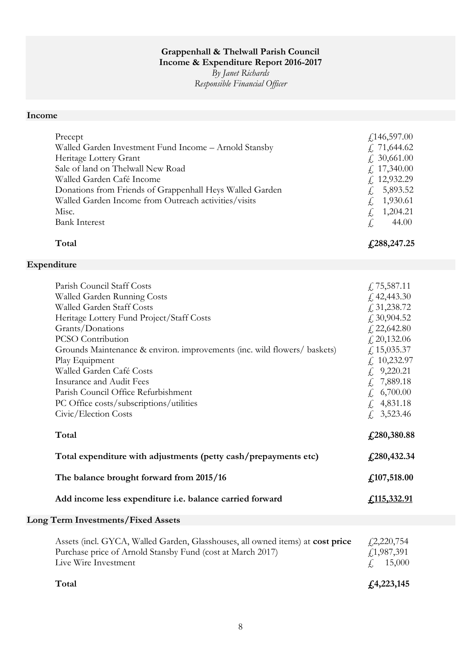# **Grappenhall & Thelwall Parish Council**

**Income & Expenditure Report 2016-2017**

*By Janet Richards Responsible Financial Officer*

## **Income**

| Precept<br>Walled Garden Investment Fund Income - Arnold Stansby<br>Heritage Lottery Grant<br>Sale of land on Thelwall New Road<br>Walled Garden Café Income<br>Donations from Friends of Grappenhall Heys Walled Garden<br>Walled Garden Income from Outreach activities/visits<br>Misc.<br><b>Bank Interest</b><br>Total                                                                                                                          | f,146,597.00<br>f, 71,644.62<br>f. 30,661.00<br>f, 17,340.00<br>$£$ 12,932.29<br>5,893.52<br>£,<br>1,930.61<br>£,<br>£<br>1,204.21<br>44.00<br>£,<br>£,288,247.25                                                          |
|-----------------------------------------------------------------------------------------------------------------------------------------------------------------------------------------------------------------------------------------------------------------------------------------------------------------------------------------------------------------------------------------------------------------------------------------------------|----------------------------------------------------------------------------------------------------------------------------------------------------------------------------------------------------------------------------|
| Expenditure                                                                                                                                                                                                                                                                                                                                                                                                                                         |                                                                                                                                                                                                                            |
| Parish Council Staff Costs<br>Walled Garden Running Costs<br>Walled Garden Staff Costs<br>Heritage Lottery Fund Project/Staff Costs<br>Grants/Donations<br><b>PCSO</b> Contribution<br>Grounds Maintenance & environ. improvements (inc. wild flowers/ baskets)<br>Play Equipment<br>Walled Garden Café Costs<br>Insurance and Audit Fees<br>Parish Council Office Refurbishment<br>PC Office costs/subscriptions/utilities<br>Civic/Election Costs | $\sqrt{2}$ , 75, 587.11<br>£42,443.30<br>f, 31, 238.72<br>£30,904.52<br>£ 22,642.80<br>f, 20, 132.06<br>f, 15,035.37<br>$£$ 10,232.97<br>$£$ 9,220.21<br>7,889.18<br>£<br>6,700.00<br>£<br>4,831.18<br>£,<br>3,523.46<br>£ |
| Total                                                                                                                                                                                                                                                                                                                                                                                                                                               | £,280,380.88                                                                                                                                                                                                               |
| Total expenditure with adjustments (petty cash/prepayments etc)                                                                                                                                                                                                                                                                                                                                                                                     | f, 280, 432.34                                                                                                                                                                                                             |
| The balance brought forward from 2015/16                                                                                                                                                                                                                                                                                                                                                                                                            | f,107,518.00                                                                                                                                                                                                               |
| Add income less expenditure i.e. balance carried forward                                                                                                                                                                                                                                                                                                                                                                                            | <u>£115,332.91</u>                                                                                                                                                                                                         |
| <b>Long Term Investments/Fixed Assets</b>                                                                                                                                                                                                                                                                                                                                                                                                           |                                                                                                                                                                                                                            |
| Assets (incl. GYCA, Walled Garden, Glasshouses, all owned items) at cost price<br>Purchase price of Arnold Stansby Fund (cost at March 2017)<br>Live Wire Investment                                                                                                                                                                                                                                                                                | $\sqrt{2,220,754}$<br>$f$ , 1, 987, 391<br>15,000                                                                                                                                                                          |

**Total £4,223,145**